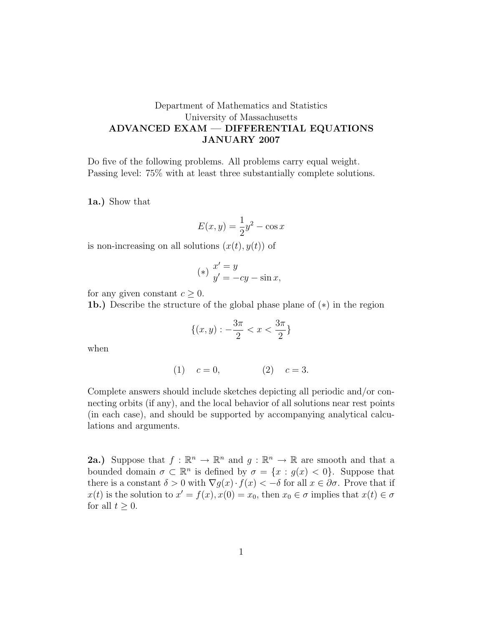## Department of Mathematics and Statistics University of Massachusetts ADVANCED EXAM — DIFFERENTIAL EQUATIONS JANUARY 2007

Do five of the following problems. All problems carry equal weight. Passing level: 75% with at least three substantially complete solutions.

1a.) Show that

$$
E(x, y) = \frac{1}{2}y^2 - \cos x
$$

is non-increasing on all solutions  $(x(t), y(t))$  of

$$
(*)\begin{array}{l} x' = y \\ y' = -cy - \sin x, \end{array}
$$

for any given constant  $c \geq 0$ .

1b.) Describe the structure of the global phase plane of (∗) in the region

$$
\{(x,y): -\frac{3\pi}{2} < x < \frac{3\pi}{2}\}
$$

when

$$
(1) \t c = 0, \t (2) \t c = 3.
$$

Complete answers should include sketches depicting all periodic and/or connecting orbits (if any), and the local behavior of all solutions near rest points (in each case), and should be supported by accompanying analytical calculations and arguments.

**2a.**) Suppose that  $f : \mathbb{R}^n \to \mathbb{R}^n$  and  $g : \mathbb{R}^n \to \mathbb{R}$  are smooth and that a bounded domain  $\sigma \subset \mathbb{R}^n$  is defined by  $\sigma = \{x : g(x) < 0\}$ . Suppose that there is a constant  $\delta > 0$  with  $\nabla g(x) \cdot f(x) < -\delta$  for all  $x \in \partial \sigma$ . Prove that if  $x(t)$  is the solution to  $x' = f(x)$ ,  $x(0) = x_0$ , then  $x_0 \in \sigma$  implies that  $x(t) \in \sigma$ for all  $t > 0$ .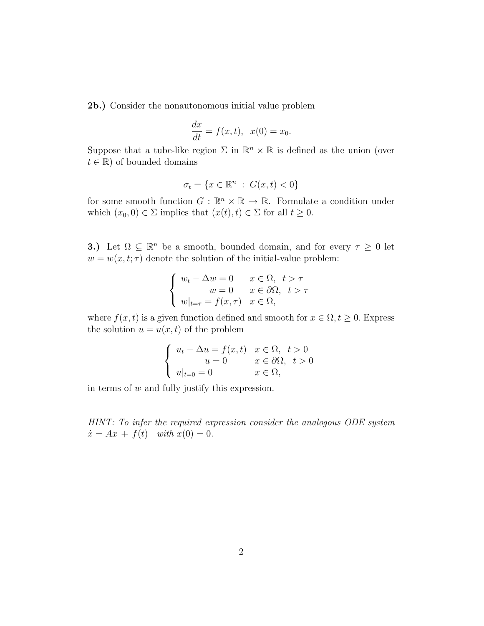2b.) Consider the nonautonomous initial value problem

$$
\frac{dx}{dt} = f(x,t), \quad x(0) = x_0.
$$

Suppose that a tube-like region  $\Sigma$  in  $\mathbb{R}^n \times \mathbb{R}$  is defined as the union (over  $t \in \mathbb{R}$ ) of bounded domains

$$
\sigma_t = \{x \in \mathbb{R}^n : G(x, t) < 0\}
$$

for some smooth function  $G : \mathbb{R}^n \times \mathbb{R} \to \mathbb{R}$ . Formulate a condition under which  $(x_0, 0) \in \Sigma$  implies that  $(x(t), t) \in \Sigma$  for all  $t \geq 0$ .

**3.**) Let  $\Omega \subseteq \mathbb{R}^n$  be a smooth, bounded domain, and for every  $\tau \geq 0$  let  $w = w(x, t; \tau)$  denote the solution of the initial-value problem:

$$
\begin{cases}\nw_t - \Delta w = 0 & x \in \Omega, \ t > \tau \\
w = 0 & x \in \partial\Omega, \ t > \tau \\
w|_{t=\tau} = f(x, \tau) & x \in \Omega,\n\end{cases}
$$

where  $f(x, t)$  is a given function defined and smooth for  $x \in \Omega$ ,  $t \geq 0$ . Express the solution  $u = u(x, t)$  of the problem

$$
\begin{cases}\n u_t - \Delta u = f(x, t) & x \in \Omega, \ t > 0 \\
 u = 0 & x \in \partial\Omega, \ t > 0 \\
 u|_{t=0} = 0 & x \in \Omega,\n\end{cases}
$$

in terms of  $w$  and fully justify this expression.

HINT: To infer the required expression consider the analogous ODE system  $\dot{x} = Ax + f(t)$  with  $x(0) = 0$ .